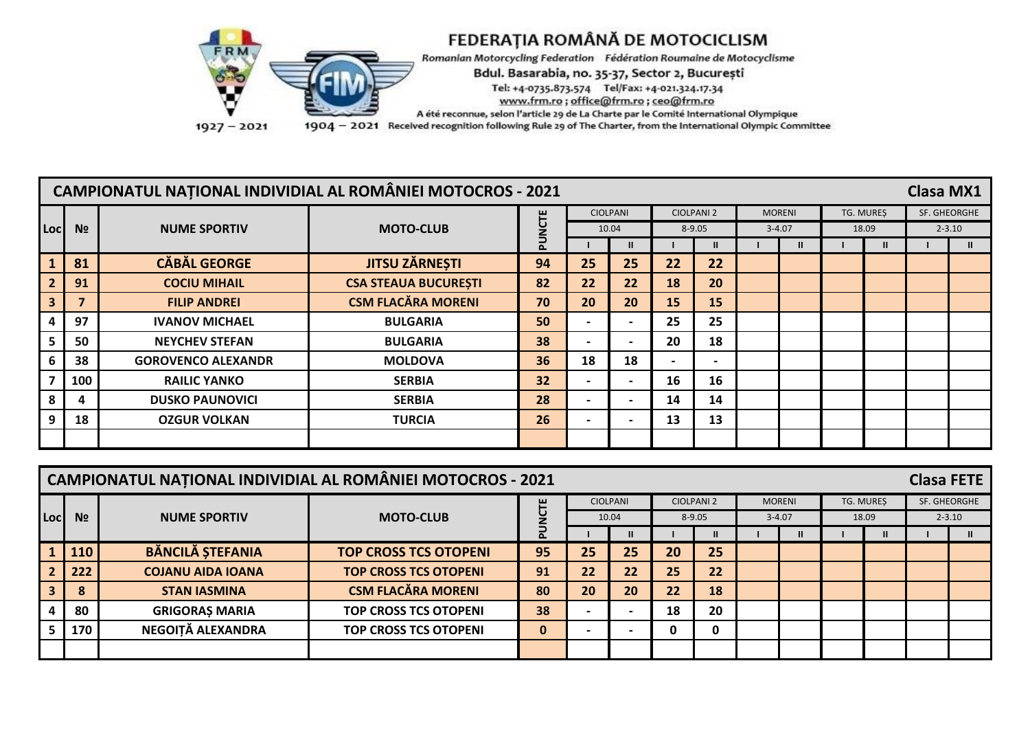

| <b>CAMPIONATUL NAȚIONAL INDIVIDIAL AL ROMÂNIEI MOTOCROS - 2021</b><br><b>Clasa MX1</b> |                |                           |                             |                |    |                          |    |                          |  |               |  |              |  |              |
|----------------------------------------------------------------------------------------|----------------|---------------------------|-----------------------------|----------------|----|--------------------------|----|--------------------------|--|---------------|--|--------------|--|--------------|
|                                                                                        |                |                           |                             |                |    | <b>CIOLPANI</b>          |    | <b>CIOLPANI 2</b>        |  | <b>MORENI</b> |  | TG. MURES    |  | SF. GHEORGHE |
| Locl                                                                                   | N <sub>2</sub> | <b>NUME SPORTIV</b>       | <b>MOTO-CLUB</b>            | <b>UU</b><br>2 |    | 10.04                    |    | $8 - 9.05$               |  | $3 - 4.07$    |  | 18.09        |  | $2 - 3.10$   |
|                                                                                        |                |                           |                             | 교              |    | $\mathbf{u}$             |    | $\mathbf{u}$             |  |               |  | $\mathbf{I}$ |  |              |
|                                                                                        | 81             | <b>CĂBĂL GEORGE</b>       | <b>JITSU ZĂRNESTI</b>       | 94             | 25 | 25                       | 22 | 22                       |  |               |  |              |  |              |
|                                                                                        | 91             | <b>COCIU MIHAIL</b>       | <b>CSA STEAUA BUCURESTI</b> | 82             | 22 | 22                       | 18 | 20                       |  |               |  |              |  |              |
| 3                                                                                      |                | <b>FILIP ANDREI</b>       | <b>CSM FLACĂRA MORENI</b>   | 70             | 20 | 20                       | 15 | 15                       |  |               |  |              |  |              |
|                                                                                        | 97             | <b>IVANOV MICHAEL</b>     | <b>BULGARIA</b>             | 50             |    | $\overline{\phantom{0}}$ | 25 | 25                       |  |               |  |              |  |              |
|                                                                                        | 50             | <b>NEYCHEV STEFAN</b>     | <b>BULGARIA</b>             | 38             |    | $\overline{\phantom{0}}$ | 20 | 18                       |  |               |  |              |  |              |
|                                                                                        | 38             | <b>GOROVENCO ALEXANDR</b> | <b>MOLDOVA</b>              | 36             | 18 | 18                       |    | $\overline{\phantom{0}}$ |  |               |  |              |  |              |
|                                                                                        | 100            | <b>RAILIC YANKO</b>       | <b>SERBIA</b>               | 32             |    | $\blacksquare$           | 16 | 16                       |  |               |  |              |  |              |
|                                                                                        | 4              | <b>DUSKO PAUNOVICI</b>    | <b>SERBIA</b>               | 28             |    | $\overline{\phantom{0}}$ | 14 | 14                       |  |               |  |              |  |              |
|                                                                                        | 18             | <b>OZGUR VOLKAN</b>       | <b>TURCIA</b>               | 26             |    | $\overline{\phantom{0}}$ | 13 | 13                       |  |               |  |              |  |              |
|                                                                                        |                |                           |                             |                |    |                          |    |                          |  |               |  |              |  |              |

|                                                                                                                |     |                          | <b>CAMPIONATUL NATIONAL INDIVIDIAL AL ROMÂNIEI MOTOCROS - 2021</b> |             |    |                              |    |                   |               |              |              | <b>Clasa FETE</b> |              |
|----------------------------------------------------------------------------------------------------------------|-----|--------------------------|--------------------------------------------------------------------|-------------|----|------------------------------|----|-------------------|---------------|--------------|--------------|-------------------|--------------|
|                                                                                                                |     |                          |                                                                    | ш           |    | <b>CIOLPANI</b>              |    | <b>CIOLPANI 2</b> | <b>MORENI</b> |              | TG. MURES    |                   | SF. GHEORGHE |
| Loc<br>N <sub>2</sub><br><b>NUME SPORTIV</b><br><b>MOTO-CLUB</b><br>$8 - 9.05$<br>10.04<br>$3 - 4.07$<br>18.09 |     |                          |                                                                    |             |    |                              |    |                   |               |              |              | $2 - 3.10$        |              |
|                                                                                                                |     |                          |                                                                    |             |    |                              |    | $\mathbf{u}$      |               | $\mathbf{u}$ | $\mathbf{u}$ |                   |              |
|                                                                                                                | 110 | <b>BĂNCILĂ ȘTEFANIA</b>  | <b>TOP CROSS TCS OTOPENI</b>                                       | 95          | 25 | 25                           | 20 | 25                |               |              |              |                   |              |
|                                                                                                                | 222 | <b>COJANU AIDA IOANA</b> | <b>TOP CROSS TCS OTOPENI</b>                                       | 91          | 22 | 22                           | 25 | 22                |               |              |              |                   |              |
|                                                                                                                | 8   | <b>STAN IASMINA</b>      | <b>CSM FLACĂRA MORENI</b>                                          | 80          | 20 | 20                           | 22 | 18                |               |              |              |                   |              |
|                                                                                                                | 80  | <b>GRIGORAȘ MARIA</b>    | <b>TOP CROSS TCS OTOPENI</b>                                       | 38          |    | $\overline{\phantom{0}}$     | 18 | 20                |               |              |              |                   |              |
|                                                                                                                | 170 | NEGOITĂ ALEXANDRA        | <b>TOP CROSS TCS OTOPENI</b>                                       | $\mathbf 0$ |    | $\qquad \qquad \blacksquare$ | 0  | 0                 |               |              |              |                   |              |
|                                                                                                                |     |                          |                                                                    |             |    |                              |    |                   |               |              |              |                   |              |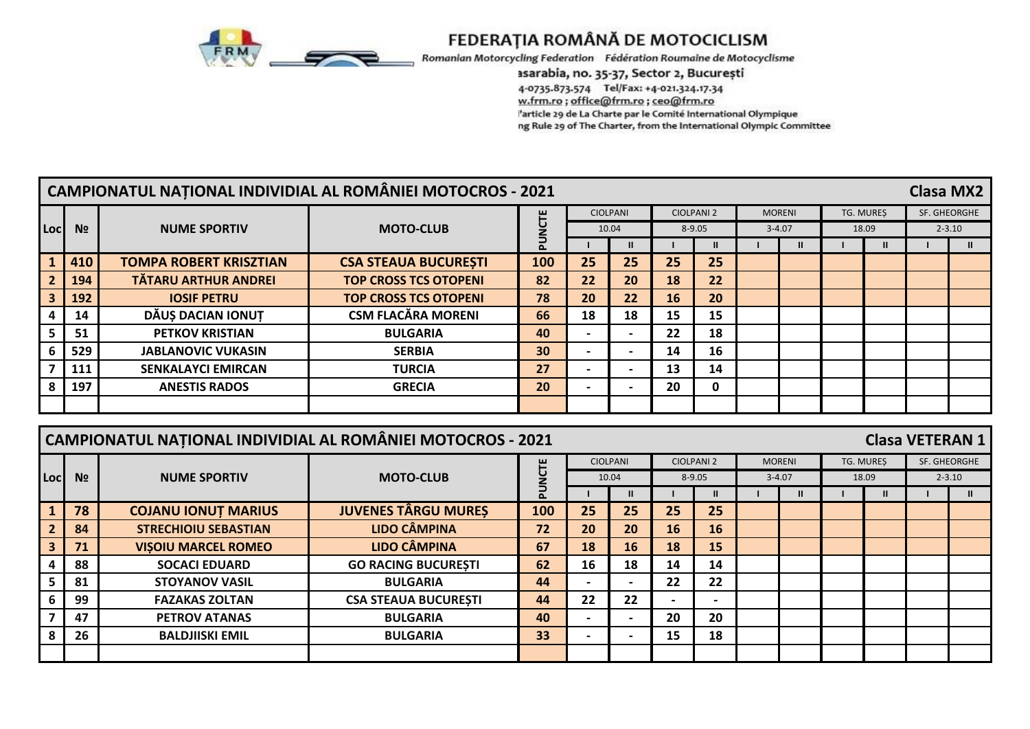

Romanian Motorcycling Federation Fédération Roumaine de Motocyclisme

### asarabia, no. 35-37, Sector 2, București

4-0735.873.574 Tel/Fax: +4-021.324.17.34 w.frm.ro ; office@frm.ro ; ceo@frm.ro 'article 29 de La Charte par le Comité International Olympique ng Rule 29 of The Charter, from the International Olympic Committee

|                                                                                                                                 | <b>CAMPIONATUL NAȚIONAL INDIVIDIAL AL ROMÂNIEI MOTOCROS - 2021</b><br><b>Clasa MX2</b><br>SF. GHEORGHE<br><b>CIOLPANI</b><br><b>CIOLPANI 2</b><br><b>MORENI</b><br>TG. MUREŞ |                                                                    |                              |        |                          |                 |    |                   |  |               |                  |               |                        |               |
|---------------------------------------------------------------------------------------------------------------------------------|------------------------------------------------------------------------------------------------------------------------------------------------------------------------------|--------------------------------------------------------------------|------------------------------|--------|--------------------------|-----------------|----|-------------------|--|---------------|------------------|---------------|------------------------|---------------|
| PUNCTE<br><b>NUME SPORTIV</b><br><b>MOTO-CLUB</b><br>N <sub>2</sub><br><b>Loc</b><br>10.04<br>$8 - 9.05$<br>$3 - 4.07$<br>18.09 |                                                                                                                                                                              |                                                                    |                              |        |                          |                 |    |                   |  |               |                  |               |                        |               |
|                                                                                                                                 |                                                                                                                                                                              |                                                                    |                              |        |                          |                 |    |                   |  |               |                  |               |                        | $2 - 3.10$    |
|                                                                                                                                 |                                                                                                                                                                              |                                                                    |                              |        |                          | $\mathbf{u}$    |    | $\mathbf{H}$      |  | $\mathbf{I}$  |                  | $\mathbf{II}$ |                        | $\mathbf{II}$ |
|                                                                                                                                 | 410                                                                                                                                                                          | <b>TOMPA ROBERT KRISZTIAN</b>                                      | <b>CSA STEAUA BUCURESTI</b>  | 100    | 25                       | 25              | 25 | 25                |  |               |                  |               |                        |               |
| $\overline{2}$                                                                                                                  | 194                                                                                                                                                                          | <b>TÄTARU ARTHUR ANDREI</b>                                        | <b>TOP CROSS TCS OTOPENI</b> | 82     | 22                       | 20              | 18 | 22                |  |               |                  |               |                        |               |
| $\overline{\mathbf{3}}$                                                                                                         | 192                                                                                                                                                                          | <b>IOSIF PETRU</b>                                                 | <b>TOP CROSS TCS OTOPENI</b> | 78     | 20                       | 22              | 16 | 20                |  |               |                  |               |                        |               |
| 4                                                                                                                               | 14                                                                                                                                                                           | DĂUȘ DACIAN IONUT                                                  | <b>CSM FLACĂRA MORENI</b>    | 66     | 18                       | 18              | 15 | 15                |  |               |                  |               |                        |               |
| 5                                                                                                                               | 51                                                                                                                                                                           | <b>PETKOV KRISTIAN</b>                                             | <b>BULGARIA</b>              | 40     | $\overline{\phantom{0}}$ | $\blacksquare$  | 22 | 18                |  |               |                  |               |                        |               |
| 6                                                                                                                               | 529                                                                                                                                                                          | <b>JABLANOVIC VUKASIN</b>                                          | <b>SERBIA</b>                | 30     |                          |                 | 14 | 16                |  |               |                  |               |                        |               |
| $\overline{\mathbf{z}}$                                                                                                         | 111                                                                                                                                                                          | <b>SENKALAYCI EMIRCAN</b>                                          | <b>TURCIA</b>                | 27     |                          |                 | 13 | 14                |  |               |                  |               |                        |               |
| 8                                                                                                                               | 197                                                                                                                                                                          | <b>ANESTIS RADOS</b>                                               | <b>GRECIA</b>                | 20     |                          |                 | 20 | 0                 |  |               |                  |               |                        |               |
|                                                                                                                                 |                                                                                                                                                                              |                                                                    |                              |        |                          |                 |    |                   |  |               |                  |               |                        |               |
|                                                                                                                                 |                                                                                                                                                                              |                                                                    |                              |        |                          |                 |    |                   |  |               |                  |               |                        |               |
|                                                                                                                                 |                                                                                                                                                                              |                                                                    |                              |        |                          |                 |    |                   |  |               |                  |               |                        |               |
|                                                                                                                                 |                                                                                                                                                                              | <b>CAMPIONATUL NAȚIONAL INDIVIDIAL AL ROMÂNIEI MOTOCROS - 2021</b> |                              |        |                          |                 |    |                   |  |               |                  |               | <b>Clasa VETERAN 1</b> |               |
|                                                                                                                                 |                                                                                                                                                                              |                                                                    |                              |        |                          | <b>CIOLPANI</b> |    | <b>CIOLPANI 2</b> |  | <b>MORENI</b> | <b>TG. MURES</b> |               |                        | SF. GHEORGHE  |
| Locl                                                                                                                            | N <sub>2</sub>                                                                                                                                                               | <b>NUME SPORTIV</b>                                                | <b>MOTO-CLUB</b>             |        |                          | 10.04           |    | 8-9.05            |  | $3 - 4.07$    | 18.09            |               |                        | $2 - 3.10$    |
|                                                                                                                                 |                                                                                                                                                                              |                                                                    |                              | PUNCTE |                          | $\mathbf{II}$   |    | $\mathbf{II}$     |  | $\mathbf{u}$  |                  | $\mathbf{II}$ |                        | $\mathbf{II}$ |
| 1                                                                                                                               | 78                                                                                                                                                                           | <b>COJANU IONUT MARIUS</b>                                         | <b>JUVENES TÂRGU MUREȘ</b>   | 100    | 25                       | 25              | 25 | 25                |  |               |                  |               |                        |               |
| $\overline{2}$                                                                                                                  | 84                                                                                                                                                                           | <b>STRECHIOIU SEBASTIAN</b>                                        | <b>LIDO CÂMPINA</b>          | 72     | 20                       | 20              | 16 | 16                |  |               |                  |               |                        |               |
| 3                                                                                                                               | 71                                                                                                                                                                           | <b>VISOIU MARCEL ROMEO</b>                                         | <b>LIDO CÂMPINA</b>          | 67     | 18                       | 16              | 18 | 15                |  |               |                  |               |                        |               |
| 4                                                                                                                               | 88                                                                                                                                                                           | <b>SOCACI EDUARD</b>                                               | <b>GO RACING BUCURESTI</b>   | 62     | 16                       | 18              | 14 | 14                |  |               |                  |               |                        |               |
| 5                                                                                                                               | 81                                                                                                                                                                           | <b>STOYANOV VASIL</b>                                              | <b>BULGARIA</b>              | 44     |                          |                 | 22 | 22                |  |               |                  |               |                        |               |
| 6                                                                                                                               | 99                                                                                                                                                                           | <b>FAZAKAS ZOLTAN</b>                                              | <b>CSA STEAUA BUCURESTI</b>  | 44     | 22                       | 22              |    |                   |  |               |                  |               |                        |               |
| $\overline{7}$                                                                                                                  | 47                                                                                                                                                                           | <b>PETROV ATANAS</b>                                               | <b>BULGARIA</b>              | 40     |                          |                 | 20 | 20                |  |               |                  |               |                        |               |
| 8                                                                                                                               | 26                                                                                                                                                                           | <b>BALDJIISKI EMIL</b>                                             | <b>BULGARIA</b>              | 33     |                          |                 | 15 | 18                |  |               |                  |               |                        |               |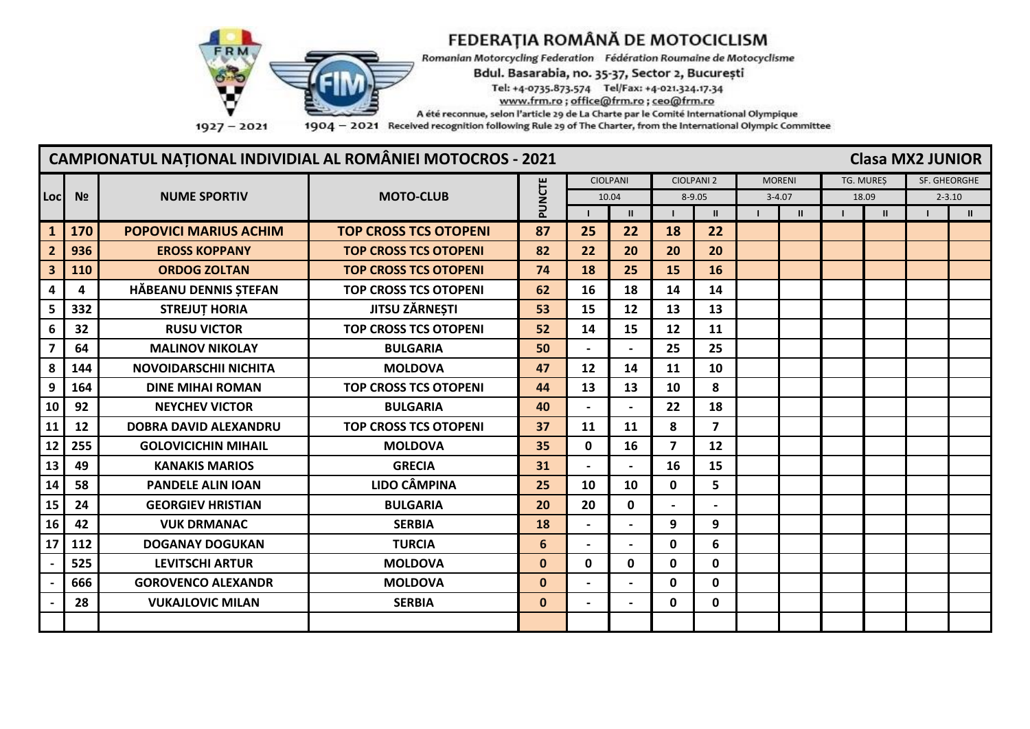

Romanian Motorcycling Federation Fédération Roumaine de Motocyclisme

#### Bdul. Basarabia, no. 35-37, Sector 2, București

Tel: +4-0735.873.574 Tel/Fax: +4-021.324.17.34

www.frm.ro; office@frm.ro; ceo@frm.ro

A été reconnue, selon l'article 29 de La Charte par le Comité International Olympique

1904 - 2021 Received recognition following Rule 29 of The Charter, from the International Olympic Committee

## **CAMPIONATUL NAȚIONAL INDIVIDIAL AL ROMÂNIEI MOTOCROS - 2021**

**Clasa MX2 JUNIOR** 

|                         |                |                              |                              |              |                          | <b>CIOLPANI</b>          |                         | <b>CIOLPANI 2</b>        | <b>MORENI</b> |       | TG. MURES    | SF. GHEORGHE |               |
|-------------------------|----------------|------------------------------|------------------------------|--------------|--------------------------|--------------------------|-------------------------|--------------------------|---------------|-------|--------------|--------------|---------------|
| Locl                    | N <sub>2</sub> | <b>NUME SPORTIV</b>          | <b>MOTO-CLUB</b>             | PUNCTE       |                          | 10.04                    |                         | $8 - 9.05$               | $3 - 4.07$    | 18.09 |              | $2 - 3.10$   |               |
|                         |                |                              |                              |              |                          | $\mathbf{H}$             |                         | $\mathbf{u}$             | $\mathbf{H}$  |       | $\mathbf{u}$ |              | $\mathbf{II}$ |
| $\mathbf{1}$            | 170            | <b>POPOVICI MARIUS ACHIM</b> | <b>TOP CROSS TCS OTOPENI</b> | 87           | 25                       | 22                       | 18                      | 22                       |               |       |              |              |               |
| $\overline{2}$          | 936            | <b>EROSS KOPPANY</b>         | <b>TOP CROSS TCS OTOPENI</b> | 82           | 22                       | 20                       | 20                      | 20                       |               |       |              |              |               |
| $\overline{\mathbf{3}}$ | 110            | <b>ORDOG ZOLTAN</b>          | <b>TOP CROSS TCS OTOPENI</b> | 74           | 18                       | 25                       | 15                      | 16                       |               |       |              |              |               |
| 4                       | 4              | HĂBEANU DENNIS ȘTEFAN        | <b>TOP CROSS TCS OTOPENI</b> | 62           | 16                       | 18                       | 14                      | 14                       |               |       |              |              |               |
| 5                       | 332            | <b>STREJUT HORIA</b>         | JITSU ZĂRNEȘTI               | 53           | 15                       | 12                       | 13                      | 13                       |               |       |              |              |               |
| 6                       | 32             | <b>RUSU VICTOR</b>           | <b>TOP CROSS TCS OTOPENI</b> | 52           | 14                       | 15                       | 12                      | 11                       |               |       |              |              |               |
|                         | 64             | <b>MALINOV NIKOLAY</b>       | <b>BULGARIA</b>              | 50           |                          |                          | 25                      | 25                       |               |       |              |              |               |
| 8                       | 144            | <b>NOVOIDARSCHII NICHITA</b> | <b>MOLDOVA</b>               | 47           | 12                       | 14                       | 11                      | 10                       |               |       |              |              |               |
| 9                       | 164            | <b>DINE MIHAI ROMAN</b>      | <b>TOP CROSS TCS OTOPENI</b> | 44           | 13                       | 13                       | 10                      | 8                        |               |       |              |              |               |
| 10                      | 92             | <b>NEYCHEV VICTOR</b>        | <b>BULGARIA</b>              | 40           |                          | $\overline{\phantom{a}}$ | 22                      | 18                       |               |       |              |              |               |
| 11                      | 12             | <b>DOBRA DAVID ALEXANDRU</b> | <b>TOP CROSS TCS OTOPENI</b> | 37           | 11                       | 11                       | 8                       | $\overline{7}$           |               |       |              |              |               |
| 12                      | 255            | <b>GOLOVICICHIN MIHAIL</b>   | <b>MOLDOVA</b>               | 35           | $\mathbf{0}$             | 16                       | $\overline{\mathbf{z}}$ | 12                       |               |       |              |              |               |
| 13                      | 49             | <b>KANAKIS MARIOS</b>        | <b>GRECIA</b>                | 31           |                          |                          | 16                      | 15                       |               |       |              |              |               |
| 14                      | 58             | <b>PANDELE ALIN IOAN</b>     | <b>LIDO CÂMPINA</b>          | 25           | 10                       | 10                       | 0                       | 5                        |               |       |              |              |               |
| 15                      | 24             | <b>GEORGIEV HRISTIAN</b>     | <b>BULGARIA</b>              | 20           | 20                       | $\mathbf 0$              |                         | $\overline{\phantom{0}}$ |               |       |              |              |               |
| 16                      | 42             | <b>VUK DRMANAC</b>           | <b>SERBIA</b>                | 18           | $\overline{\phantom{0}}$ | $\overline{\phantom{0}}$ | 9                       | 9                        |               |       |              |              |               |
| 17                      | 112            | <b>DOGANAY DOGUKAN</b>       | <b>TURCIA</b>                | 6            | $\overline{\phantom{0}}$ | $\blacksquare$           | 0                       | 6                        |               |       |              |              |               |
|                         | 525            | <b>LEVITSCHI ARTUR</b>       | <b>MOLDOVA</b>               | $\mathbf{0}$ | $\mathbf{0}$             | $\mathbf{0}$             | 0                       | $\mathbf{0}$             |               |       |              |              |               |
|                         | 666            | <b>GOROVENCO ALEXANDR</b>    | <b>MOLDOVA</b>               | $\mathbf{0}$ | $\blacksquare$           | $\blacksquare$           | 0                       | 0                        |               |       |              |              |               |
|                         | 28             | <b>VUKAJLOVIC MILAN</b>      | <b>SERBIA</b>                | $\mathbf{0}$ |                          |                          | 0                       | 0                        |               |       |              |              |               |
|                         |                |                              |                              |              |                          |                          |                         |                          |               |       |              |              |               |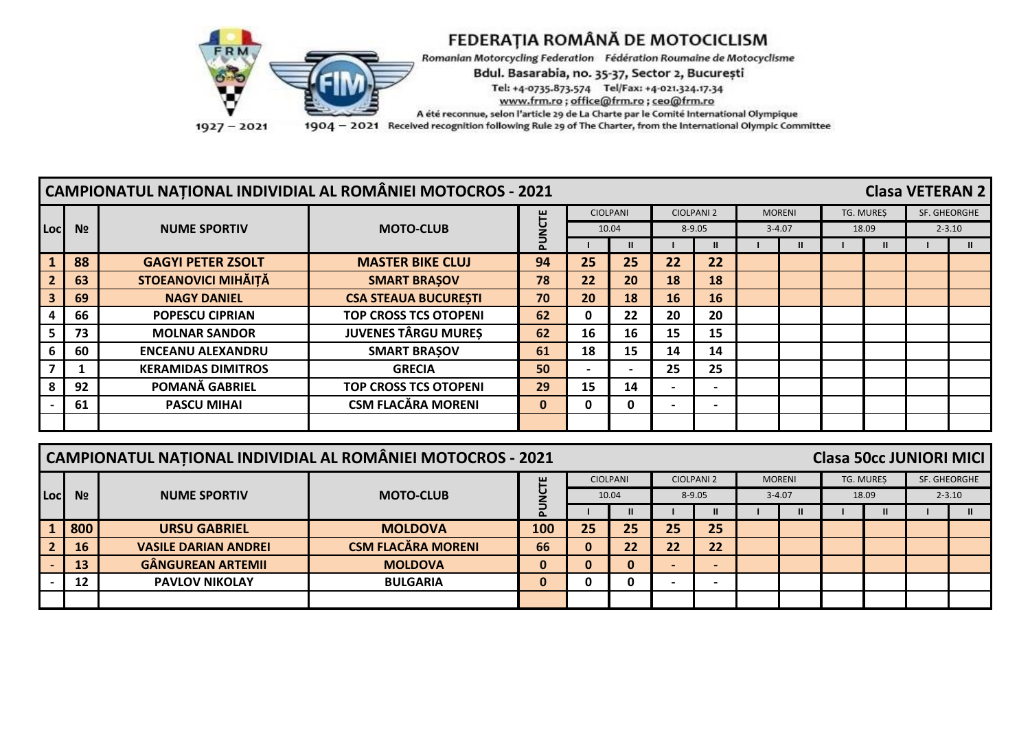

|                         | CAMPIONATUL NAȚIONAL INDIVIDIAL AL ROMÂNIEI MOTOCROS - 2021<br><b>Clasa VETERAN 2</b> |                                                            |                              |                     |    |                          |           |                          |  |       |  |              |            |              |
|-------------------------|---------------------------------------------------------------------------------------|------------------------------------------------------------|------------------------------|---------------------|----|--------------------------|-----------|--------------------------|--|-------|--|--------------|------------|--------------|
|                         |                                                                                       | <b>CIOLPANI</b><br><b>CIOLPANI 2</b><br><b>MORENI</b><br>۳ |                              |                     |    |                          |           |                          |  |       |  | TG. MURES    |            | SF. GHEORGHE |
| Loc                     | N <sub>2</sub>                                                                        | <b>NUME SPORTIV</b>                                        | <b>MOTO-CLUB</b>             | $8 - 9.05$<br>10.04 |    |                          |           | $3 - 4.07$               |  | 18.09 |  |              | $2 - 3.10$ |              |
|                         |                                                                                       |                                                            |                              |                     |    |                          |           |                          |  |       |  | $\mathbf{u}$ |            |              |
|                         | 88                                                                                    | <b>GAGYI PETER ZSOLT</b>                                   | <b>MASTER BIKE CLUJ</b>      | 94                  | 25 | 25                       | 22        | 22                       |  |       |  |              |            |              |
| $\overline{2}$          | 63                                                                                    | <b>STOEANOVICI MIHĂIȚĂ</b>                                 | <b>SMART BRASOV</b>          | 78                  | 22 | 20                       | 18        | 18                       |  |       |  |              |            |              |
| $\overline{\mathbf{3}}$ | 69                                                                                    | <b>NAGY DANIEL</b>                                         | <b>CSA STEAUA BUCURESTI</b>  | 70                  | 20 | 18                       | <b>16</b> | 16                       |  |       |  |              |            |              |
|                         | 66                                                                                    | <b>POPESCU CIPRIAN</b>                                     | <b>TOP CROSS TCS OTOPENI</b> | 62                  | 0  | 22                       | 20        | 20                       |  |       |  |              |            |              |
| 5.                      | 73                                                                                    | <b>MOLNAR SANDOR</b>                                       | <b>JUVENES TÂRGU MURES</b>   | 62                  | 16 | 16                       | 15        | 15                       |  |       |  |              |            |              |
|                         | 60                                                                                    | <b>ENCEANU ALEXANDRU</b>                                   | <b>SMART BRASOV</b>          | 61                  | 18 | 15                       | 14        | 14                       |  |       |  |              |            |              |
|                         |                                                                                       | <b>KERAMIDAS DIMITROS</b>                                  | <b>GRECIA</b>                | 50                  |    | $\overline{\phantom{0}}$ | 25        | 25                       |  |       |  |              |            |              |
|                         | 92                                                                                    | POMANĂ GABRIEL                                             | <b>TOP CROSS TCS OTOPENI</b> | 29                  | 15 | 14                       |           |                          |  |       |  |              |            |              |
|                         | 61                                                                                    | <b>PASCU MIHAI</b>                                         | <b>CSM FLACĂRA MORENI</b>    | $\mathbf 0$         | 0  | 0                        |           | $\overline{\phantom{0}}$ |  |       |  |              |            |              |
|                         |                                                                                       |                                                            |                              |                     |    |                          |           |                          |  |       |  |              |            |              |

|      | <b>CAMPIONATUL NAȚIONAL INDIVIDIAL AL ROMÂNIEI MOTOCROS - 2021</b><br><b>Clasa 50cc JUNIORI MICI</b> |                             |                                                                |     |    |    |    |    |  |  |  |  |  |            |
|------|------------------------------------------------------------------------------------------------------|-----------------------------|----------------------------------------------------------------|-----|----|----|----|----|--|--|--|--|--|------------|
|      | SF. GHEORGHE<br><b>CIOLPANI</b><br><b>CIOLPANI 2</b><br><b>MORENI</b><br>TG. MURES<br>ш              |                             |                                                                |     |    |    |    |    |  |  |  |  |  |            |
| Locl | N <sub>2</sub>                                                                                       | <b>NUME SPORTIV</b>         | <b>MOTO-CLUB</b><br>$8 - 9.05$<br>10.04<br>$3 - 4.07$<br>18.09 |     |    |    |    |    |  |  |  |  |  | $2 - 3.10$ |
|      |                                                                                                      |                             |                                                                |     |    |    |    |    |  |  |  |  |  |            |
|      | 800                                                                                                  | <b>URSU GABRIEL</b>         | <b>MOLDOVA</b>                                                 | 100 | 25 | 25 | 25 | 25 |  |  |  |  |  |            |
|      | 16                                                                                                   | <b>VASILE DARIAN ANDREI</b> | <b>CSM FLACĂRA MORENI</b>                                      | 66  |    | 22 | 22 | 22 |  |  |  |  |  |            |
|      | 13                                                                                                   | <b>GÂNGUREAN ARTEMIL</b>    | <b>MOLDOVA</b>                                                 | 0   |    | 0  |    |    |  |  |  |  |  |            |
|      | 12                                                                                                   | <b>PAVLOV NIKOLAY</b>       | <b>BULGARIA</b>                                                | 0   |    | 0  |    |    |  |  |  |  |  |            |
|      |                                                                                                      |                             |                                                                |     |    |    |    |    |  |  |  |  |  |            |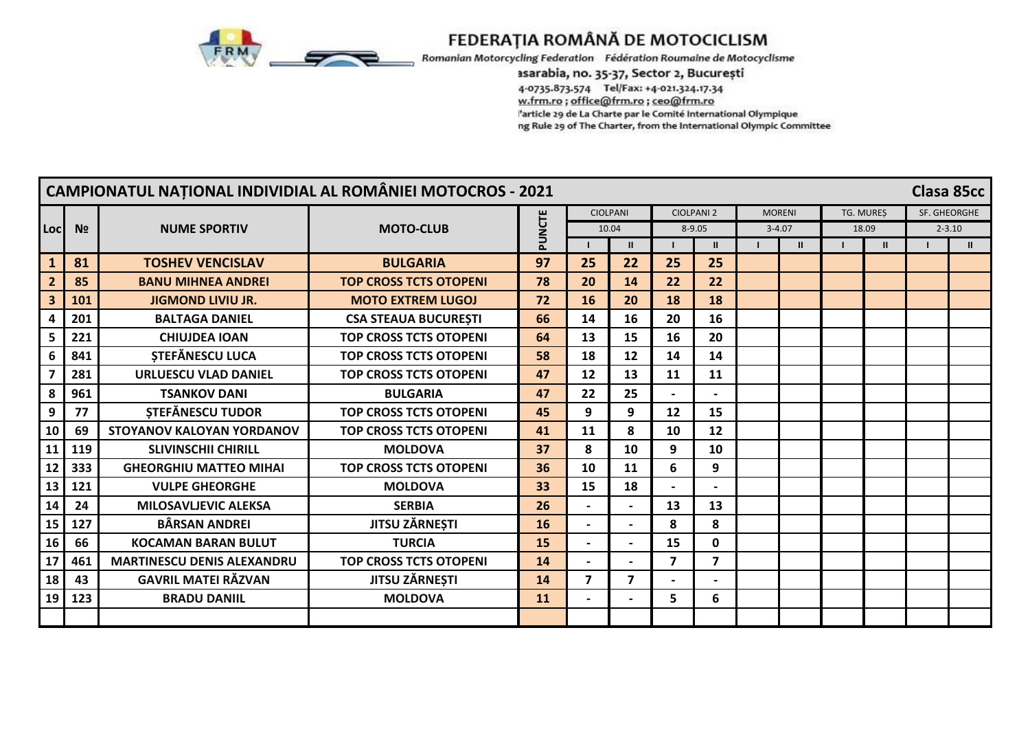

Romanian Motorcycling Federation Fédération Roumaine de Motocyclisme

#### asarabia, no. 35-37, Sector 2, București

4-0735.873.574 Tel/Fax: +4-021.324.17.34 w.frm.ro ; office@frm.ro ; ceo@frm.ro 'article 29 de La Charte par le Comité International Olympique ng Rule 29 of The Charter, from the International Olympic Committee

|                         |                |                                   | <b>CAMPIONATUL NATIONAL INDIVIDIAL AL ROMÂNIEI MOTOCROS - 2021</b> |        |                          |                          |                |                   |               |                  |              |              | Clasa 85cc   |
|-------------------------|----------------|-----------------------------------|--------------------------------------------------------------------|--------|--------------------------|--------------------------|----------------|-------------------|---------------|------------------|--------------|--------------|--------------|
|                         |                |                                   |                                                                    |        |                          | <b>CIOLPANI</b>          |                | <b>CIOLPANI 2</b> | <b>MORENI</b> | <b>TG. MURES</b> |              | SF. GHEORGHE |              |
| Locl                    | N <sub>2</sub> | <b>NUME SPORTIV</b>               | <b>MOTO-CLUB</b>                                                   | PUNCTE |                          | 10.04                    |                | $8 - 9.05$        | $3 - 4.07$    |                  | 18.09        |              | $2 - 3.10$   |
|                         |                |                                   |                                                                    |        |                          | $\mathbf{u}$             |                | $\mathbf{II}$     | $\mathbf{u}$  |                  | $\mathbf{u}$ |              | $\mathbf{H}$ |
| $\mathbf{1}$            | 81             | <b>TOSHEV VENCISLAV</b>           | <b>BULGARIA</b>                                                    | 97     | 25                       | 22                       | 25             | 25                |               |                  |              |              |              |
|                         | 85             | <b>BANU MIHNEA ANDREI</b>         | <b>TOP CROSS TCTS OTOPENI</b>                                      | 78     | 20                       | 14                       | 22             | 22                |               |                  |              |              |              |
| $\overline{\mathbf{3}}$ | 101            | <b>JIGMOND LIVIU JR.</b>          | <b>MOTO EXTREM LUGOJ</b>                                           | 72     | 16                       | 20                       | 18             | 18                |               |                  |              |              |              |
|                         | 201            | <b>BALTAGA DANIEL</b>             | <b>CSA STEAUA BUCURESTI</b>                                        | 66     | 14                       | 16                       | 20             | 16                |               |                  |              |              |              |
|                         | 221            | <b>CHIUJDEA IOAN</b>              | <b>TOP CROSS TCTS OTOPENI</b>                                      | 64     | 13                       | 15                       | 16             | 20                |               |                  |              |              |              |
|                         | 841            | <b>STEFĂNESCU LUCA</b>            | <b>TOP CROSS TCTS OTOPENI</b>                                      | 58     | 18                       | 12                       | 14             | 14                |               |                  |              |              |              |
|                         | 281            | <b>URLUESCU VLAD DANIEL</b>       | <b>TOP CROSS TCTS OTOPENI</b>                                      | 47     | 12                       | 13                       | 11             | 11                |               |                  |              |              |              |
| 8                       | 961            | <b>TSANKOV DANI</b>               | <b>BULGARIA</b>                                                    | 47     | 22                       | 25                       |                |                   |               |                  |              |              |              |
| 9                       | 77             | <b>STEFÄNESCU TUDOR</b>           | <b>TOP CROSS TCTS OTOPENI</b>                                      | 45     | 9                        | 9                        | 12             | 15                |               |                  |              |              |              |
| 10                      | 69             | <b>STOYANOV KALOYAN YORDANOV</b>  | <b>TOP CROSS TCTS OTOPENI</b>                                      | 41     | 11                       | 8                        | 10             | 12                |               |                  |              |              |              |
| 11                      | 119            | <b>SLIVINSCHII CHIRILL</b>        | <b>MOLDOVA</b>                                                     | 37     | 8                        | 10                       | 9              | 10                |               |                  |              |              |              |
| 12                      | 333            | <b>GHEORGHIU MATTEO MIHAI</b>     | <b>TOP CROSS TCTS OTOPENI</b>                                      | 36     | 10                       | 11                       | 6              | 9                 |               |                  |              |              |              |
| 13                      | 121            | <b>VULPE GHEORGHE</b>             | <b>MOLDOVA</b>                                                     | 33     | 15                       | 18                       |                |                   |               |                  |              |              |              |
| 14                      | 24             | <b>MILOSAVLJEVIC ALEKSA</b>       | <b>SERBIA</b>                                                      | 26     |                          |                          | 13             | 13                |               |                  |              |              |              |
| 15                      | 127            | <b>BÂRSAN ANDREI</b>              | <b>JITSU ZĂRNEȘTI</b>                                              | 16     | $\overline{\phantom{0}}$ |                          | 8              | 8                 |               |                  |              |              |              |
| 16                      | 66             | <b>KOCAMAN BARAN BULUT</b>        | <b>TURCIA</b>                                                      | 15     |                          |                          | 15             | $\mathbf 0$       |               |                  |              |              |              |
| 17                      | 461            | <b>MARTINESCU DENIS ALEXANDRU</b> | <b>TOP CROSS TCTS OTOPENI</b>                                      | 14     |                          |                          | $\overline{7}$ | $\overline{7}$    |               |                  |              |              |              |
| 18                      | 43             | <b>GAVRIL MATEI RĂZVAN</b>        | <b>JITSU ZĂRNEȘTI</b>                                              | 14     | $\overline{ }$           | $\overline{\mathbf{z}}$  |                |                   |               |                  |              |              |              |
| 19                      | 123            | <b>BRADU DANIIL</b>               | <b>MOLDOVA</b>                                                     | 11     | $\overline{\phantom{0}}$ | $\overline{\phantom{0}}$ | 5.             | 6                 |               |                  |              |              |              |
|                         |                |                                   |                                                                    |        |                          |                          |                |                   |               |                  |              |              |              |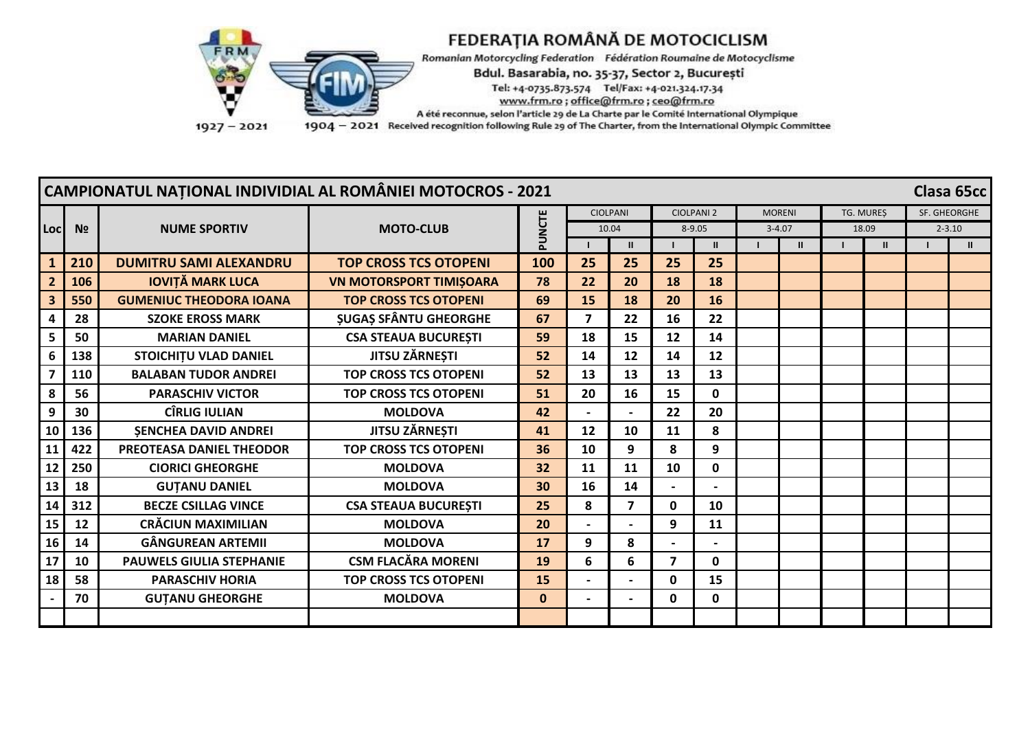

Romanian Motorcycling Federation Fédération Roumaine de Motocyclisme

Bdul. Basarabia, no. 35-37, Sector 2, București

Tel: +4-0735.873.574 Tel/Fax: +4-021.324.17.34

www.frm.ro; office@frm.ro; ceo@frm.ro

A été reconnue, selon l'article 29 de La Charte par le Comité International Olympique

1904 - 2021 Received recognition following Rule 29 of The Charter, from the International Olympic Committee

| <b>CAMPIONATUL NATIONAL INDIVIDIAL AL ROMÂNIEI MOTOCROS - 2021</b><br>Clasa 65cc |                |                                 |                                |             |                 |                         |                         |                   |            |               |              |            |               |
|----------------------------------------------------------------------------------|----------------|---------------------------------|--------------------------------|-------------|-----------------|-------------------------|-------------------------|-------------------|------------|---------------|--------------|------------|---------------|
|                                                                                  |                |                                 |                                |             | <b>CIOLPANI</b> |                         |                         | <b>CIOLPANI 2</b> |            | <b>MORENI</b> | TG. MURES    |            | SF. GHEORGHE  |
| Locl                                                                             | N <sub>2</sub> | <b>NUME SPORTIV</b>             | <b>MOTO-CLUB</b>               | PUNCTE      |                 | 10.04                   |                         | $8 - 9.05$        | $3 - 4.07$ |               | 18.09        | $2 - 3.10$ |               |
|                                                                                  |                |                                 |                                |             |                 | $\mathbf{II}$           |                         |                   |            |               | $\mathbf{I}$ |            | $\mathbf{II}$ |
|                                                                                  | 210            | <b>DUMITRU SAMI ALEXANDRU</b>   | <b>TOP CROSS TCS OTOPENI</b>   | 100         | 25              | 25                      | 25                      | 25                |            |               |              |            |               |
|                                                                                  | 106            | <b>IOVIȚĂ MARK LUCA</b>         | <b>VN MOTORSPORT TIMISOARA</b> | 78          | 22              | 20                      | 18                      | 18                |            |               |              |            |               |
| 3                                                                                | 550            | <b>GUMENIUC THEODORA IOANA</b>  | <b>TOP CROSS TCS OTOPENI</b>   | 69          | 15              | 18                      | 20                      | 16                |            |               |              |            |               |
|                                                                                  | 28             | <b>SZOKE EROSS MARK</b>         | <b>SUGAS SFÂNTU GHEORGHE</b>   | 67          | $\overline{7}$  | 22                      | 16                      | 22                |            |               |              |            |               |
| 5                                                                                | 50             | <b>MARIAN DANIEL</b>            | <b>CSA STEAUA BUCURESTI</b>    | 59          | 18              | 15                      | 12                      | 14                |            |               |              |            |               |
| 6                                                                                | 138            | <b>STOICHITU VLAD DANIEL</b>    | <b>JITSU ZÄRNESTI</b>          | 52          | 14              | 12                      | 14                      | 12                |            |               |              |            |               |
|                                                                                  | 110            | <b>BALABAN TUDOR ANDREI</b>     | <b>TOP CROSS TCS OTOPENI</b>   | 52          | 13              | 13                      | 13                      | 13                |            |               |              |            |               |
| 8                                                                                | 56             | <b>PARASCHIV VICTOR</b>         | <b>TOP CROSS TCS OTOPENI</b>   | 51          | 20              | 16                      | 15                      | $\mathbf 0$       |            |               |              |            |               |
| 9                                                                                | 30             | <b>CÎRLIG IULIAN</b>            | <b>MOLDOVA</b>                 | 42          |                 |                         | 22                      | 20                |            |               |              |            |               |
| 10                                                                               | 136            | <b>SENCHEA DAVID ANDREI</b>     | <b>JITSU ZĂRNEȘTI</b>          | 41          | 12              | 10                      | 11                      | 8                 |            |               |              |            |               |
| 11                                                                               | 422            | PREOTEASA DANIEL THEODOR        | <b>TOP CROSS TCS OTOPENI</b>   | 36          | 10              | 9                       | 8                       | 9                 |            |               |              |            |               |
| 12                                                                               | 250            | <b>CIORICI GHEORGHE</b>         | <b>MOLDOVA</b>                 | 32          | 11              | 11                      | 10                      | 0                 |            |               |              |            |               |
| 13                                                                               | 18             | <b>GUTANU DANIEL</b>            | <b>MOLDOVA</b>                 | 30          | 16              | 14                      |                         |                   |            |               |              |            |               |
| 14                                                                               | 312            | <b>BECZE CSILLAG VINCE</b>      | <b>CSA STEAUA BUCURESTI</b>    | 25          | 8               | $\overline{\mathbf{z}}$ | 0                       | 10                |            |               |              |            |               |
| 15                                                                               | 12             | <b>CRĂCIUN MAXIMILIAN</b>       | <b>MOLDOVA</b>                 | 20          |                 |                         | 9                       | 11                |            |               |              |            |               |
| 16                                                                               | 14             | <b>GÂNGUREAN ARTEMII</b>        | <b>MOLDOVA</b>                 | 17          | 9               | 8                       |                         |                   |            |               |              |            |               |
| 17                                                                               | 10             | <b>PAUWELS GIULIA STEPHANIE</b> | <b>CSM FLACĂRA MORENI</b>      | 19          | 6               | 6                       | $\overline{\mathbf{z}}$ | $\mathbf{0}$      |            |               |              |            |               |
| 18                                                                               | 58             | <b>PARASCHIV HORIA</b>          | <b>TOP CROSS TCS OTOPENI</b>   | 15          |                 |                         | O                       | 15                |            |               |              |            |               |
|                                                                                  | 70             | <b>GUTANU GHEORGHE</b>          | <b>MOLDOVA</b>                 | $\mathbf 0$ | $\blacksquare$  |                         | 0                       | $\mathbf{0}$      |            |               |              |            |               |
|                                                                                  |                |                                 |                                |             |                 |                         |                         |                   |            |               |              |            |               |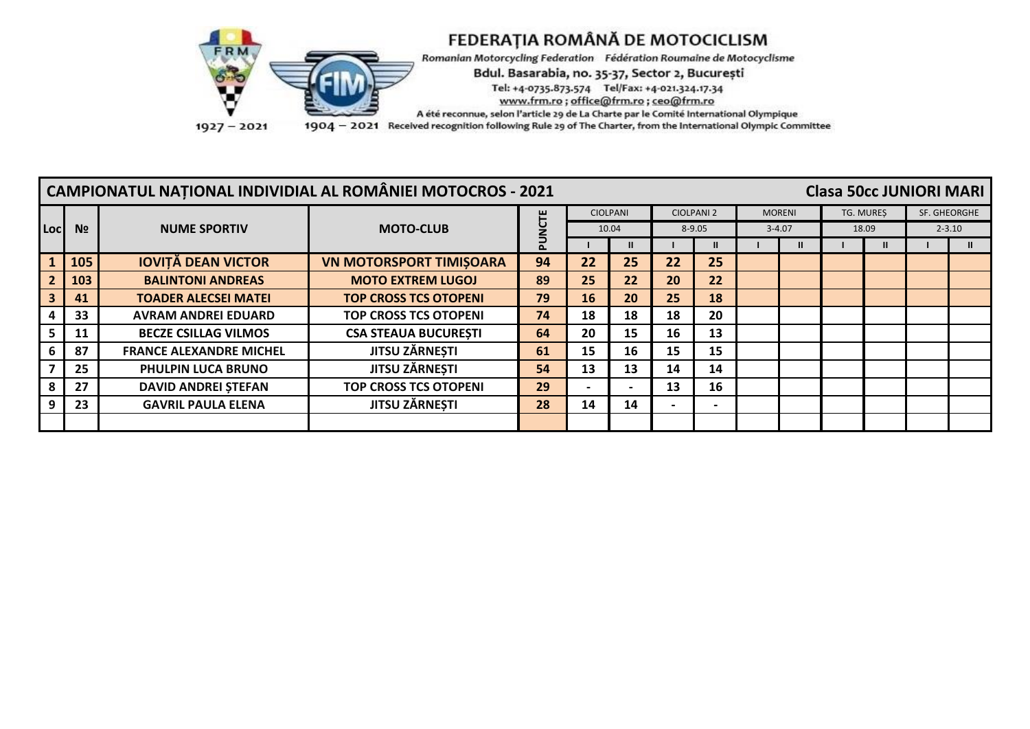

|     | <b>CAMPIONATUL NATIONAL INDIVIDIAL AL ROMÂNIEI MOTOCROS - 2021</b><br><b>Clasa 50cc JUNIORI MARI</b> |                                |                                |                                                                         |    |                          |           |              |  |            |  |                  |  |              |
|-----|------------------------------------------------------------------------------------------------------|--------------------------------|--------------------------------|-------------------------------------------------------------------------|----|--------------------------|-----------|--------------|--|------------|--|------------------|--|--------------|
|     |                                                                                                      |                                |                                | <b>CIOLPANI</b><br><b>CIOLPANI 2</b><br><b>MORENI</b><br><b>UU</b><br>N |    |                          |           |              |  |            |  | <b>TG. MURES</b> |  | SF. GHEORGHE |
| Loc | N <sub>2</sub>                                                                                       | <b>NUME SPORTIV</b>            | <b>MOTO-CLUB</b>               |                                                                         |    | 10.04                    |           | $8 - 9.05$   |  | $3 - 4.07$ |  | 18.09            |  | $2 - 3.10$   |
|     |                                                                                                      |                                |                                |                                                                         |    |                          |           | $\mathbf{u}$ |  |            |  |                  |  |              |
|     | 105                                                                                                  | <b>IOVITĂ DEAN VICTOR</b>      | <b>VN MOTORSPORT TIMISOARA</b> | 94                                                                      | 22 | 25                       | 22        | 25           |  |            |  |                  |  |              |
|     | 103                                                                                                  | <b>BALINTONI ANDREAS</b>       | <b>MOTO EXTREM LUGOJ</b>       | 89                                                                      | 25 | 22                       | <b>20</b> | 22           |  |            |  |                  |  |              |
|     | 41                                                                                                   | <b>TOADER ALECSEI MATEI</b>    | <b>TOP CROSS TCS OTOPENI</b>   | 79                                                                      | 16 | 20                       | 25        | 18           |  |            |  |                  |  |              |
|     | 33                                                                                                   | <b>AVRAM ANDREI EDUARD</b>     | <b>TOP CROSS TCS OTOPENI</b>   | 74                                                                      | 18 | 18                       | 18        | 20           |  |            |  |                  |  |              |
|     | 11                                                                                                   | <b>BECZE CSILLAG VILMOS</b>    | <b>CSA STEAUA BUCURESTI</b>    | 64                                                                      | 20 | 15                       | 16        | 13           |  |            |  |                  |  |              |
|     | 87                                                                                                   | <b>FRANCE ALEXANDRE MICHEL</b> | <b>JITSU ZĂRNEȘTI</b>          | 61                                                                      | 15 | 16                       | 15        | 15           |  |            |  |                  |  |              |
|     | 25                                                                                                   | PHULPIN LUCA BRUNO             | <b>JITSU ZĂRNEȘTI</b>          | 54                                                                      | 13 | 13                       | 14        | 14           |  |            |  |                  |  |              |
|     | 27                                                                                                   | <b>DAVID ANDREI STEFAN</b>     | <b>TOP CROSS TCS OTOPENI</b>   | 29                                                                      |    | $\overline{\phantom{0}}$ | 13        | 16           |  |            |  |                  |  |              |
|     | 23                                                                                                   | <b>GAVRIL PAULA ELENA</b>      | <b>JITSU ZĂRNEȘTI</b>          | 28                                                                      | 14 | 14                       |           |              |  |            |  |                  |  |              |
|     |                                                                                                      |                                |                                |                                                                         |    |                          |           |              |  |            |  |                  |  |              |